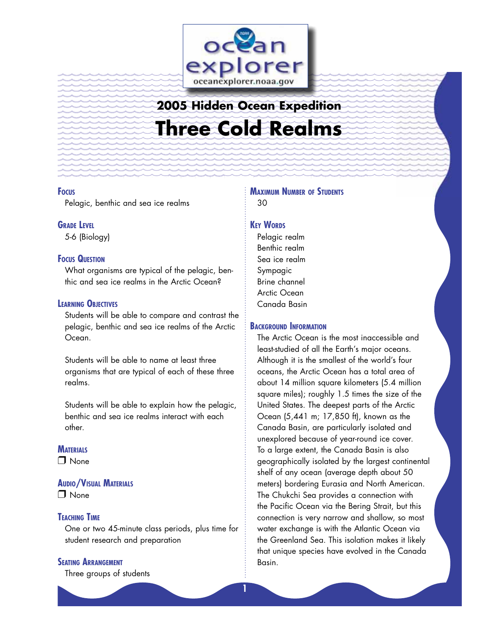

# **2005 Hidden Ocean Expedition Three Cold Realms**

#### **FOCUS**

Pelagic, benthic and sea ice realms

#### **GRADE LEVEL**

5-6 (Biology)

#### **FOCUS QUESTION**

What organisms are typical of the pelagic, benthic and sea ice realms in the Arctic Ocean?

#### **LEARNING OBJECTIVES**

Students will be able to compare and contrast the pelagic, benthic and sea ice realms of the Arctic Ocean.

Students will be able to name at least three organisms that are typical of each of these three realms.

Students will be able to explain how the pelagic, benthic and sea ice realms interact with each other.

## **MATERIALS**

❒ None

## **AUDIO/VISUAL MATERIALS**

❒ None

#### **TEACHING TIME**

One or two 45-minute class periods, plus time for student research and preparation

## **SEATING ARRANGEMENT**

Three groups of students

## **MAXIMUM NUMBER OF STUDENTS** 30

#### **KEY WORDS**

Pelagic realm Benthic realm Sea ice realm Sympagic Brine channel Arctic Ocean Canada Basin

#### **BACKGROUND INFORMATION**

The Arctic Ocean is the most inaccessible and least-studied of all the Earth's major oceans. Although it is the smallest of the world's four oceans, the Arctic Ocean has a total area of about 14 million square kilometers (5.4 million square miles); roughly 1.5 times the size of the United States. The deepest parts of the Arctic Ocean (5,441 m; 17,850 ft), known as the Canada Basin, are particularly isolated and unexplored because of year-round ice cover. To a large extent, the Canada Basin is also geographically isolated by the largest continental shelf of any ocean (average depth about 50 meters) bordering Eurasia and North American. The Chukchi Sea provides a connection with the Pacific Ocean via the Bering Strait, but this connection is very narrow and shallow, so most water exchange is with the Atlantic Ocean via the Greenland Sea. This isolation makes it likely that unique species have evolved in the Canada Basin.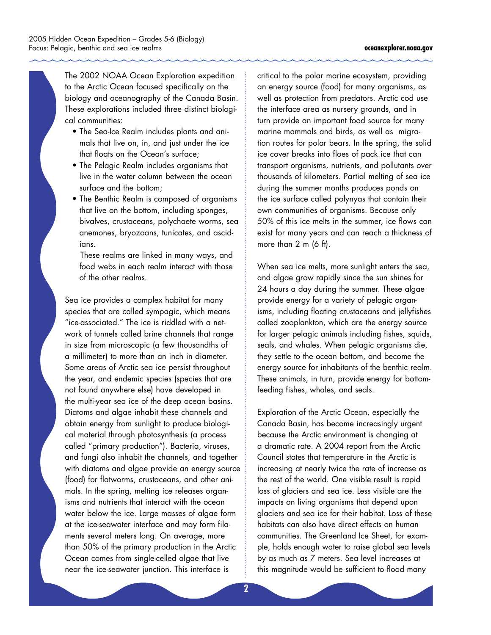The 2002 NOAA Ocean Exploration expedition to the Arctic Ocean focused specifically on the biology and oceanography of the Canada Basin. These explorations included three distinct biological communities:

- The Sea-Ice Realm includes plants and animals that live on, in, and just under the ice that floats on the Ocean's surface;
- The Pelagic Realm includes organisms that live in the water column between the ocean surface and the bottom;
- The Benthic Realm is composed of organisms that live on the bottom, including sponges, bivalves, crustaceans, polychaete worms, sea anemones, bryozoans, tunicates, and ascidians.

 These realms are linked in many ways, and food webs in each realm interact with those of the other realms.

Sea ice provides a complex habitat for many species that are called sympagic, which means "ice-associated." The ice is riddled with a network of tunnels called brine channels that range in size from microscopic (a few thousandths of a millimeter) to more than an inch in diameter. Some areas of Arctic sea ice persist throughout the year, and endemic species (species that are not found anywhere else) have developed in the multi-year sea ice of the deep ocean basins. Diatoms and algae inhabit these channels and obtain energy from sunlight to produce biological material through photosynthesis (a process called "primary production"). Bacteria, viruses, and fungi also inhabit the channels, and together with diatoms and algae provide an energy source (food) for flatworms, crustaceans, and other ani mals. In the spring, melting ice releases organisms and nutrients that interact with the ocean water below the ice. Large masses of algae form at the ice-seawater interface and may form filaments several meters long. On average, more than 50% of the primary production in the Arctic Ocean comes from single-celled algae that live near the ice-seawater junction. This interface is

critical to the polar marine ecosystem, providing an energy source (food) for many organisms, as well as protection from predators. Arctic cod use the interface area as nursery grounds, and in turn provide an important food source for many marine mammals and birds, as well as migration routes for polar bears. In the spring, the solid ice cover breaks into floes of pack ice that can transport organisms, nutrients, and pollutants over thousands of kilometers. Partial melting of sea ice during the summer months produces ponds on the ice surface called polynyas that contain their own communities of organisms. Because only 50% of this ice melts in the summer, ice flows can exist for many years and can reach a thickness of more than 2 m (6 ft).

When sea ice melts, more sunlight enters the sea, and algae grow rapidly since the sun shines for 24 hours a day during the summer. These algae provide energy for a variety of pelagic organisms, including floating crustaceans and jellyfishes called zooplankton, which are the energy source for larger pelagic animals including fishes, squids, seals, and whales. When pelagic organisms die, they settle to the ocean bottom, and become the energy source for inhabitants of the benthic realm. These animals, in turn, provide energy for bottomfeeding fishes, whales, and seals.

Exploration of the Arctic Ocean, especially the Canada Basin, has become increasingly urgent because the Arctic environment is changing at a dramatic rate. A 2004 report from the Arctic Council states that temperature in the Arctic is increasing at nearly twice the rate of increase as the rest of the world. One visible result is rapid loss of glaciers and sea ice. Less visible are the impacts on living organisms that depend upon glaciers and sea ice for their habitat. Loss of these habitats can also have direct effects on human communities. The Greenland Ice Sheet, for example, holds enough water to raise global sea levels by as much as 7 meters. Sea level increases at this magnitude would be sufficient to flood many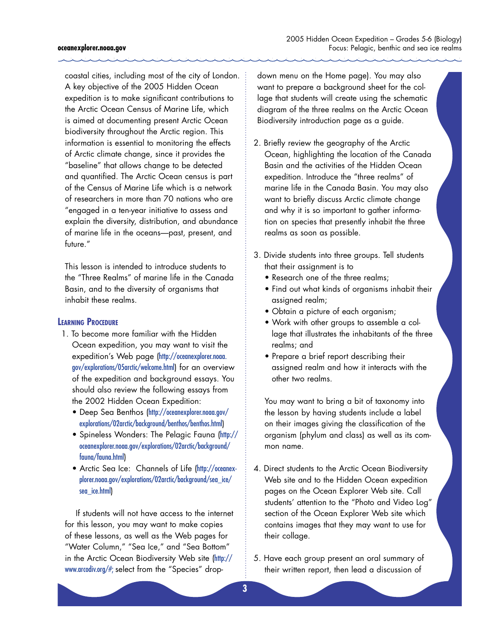#### **oceanexplorer.noaa.gov**

coastal cities, including most of the city of London. A key objective of the 2005 Hidden Ocean expedition is to make significant contributions to the Arctic Ocean Census of Marine Life, which is aimed at documenting present Arctic Ocean biodiversity throughout the Arctic region. This information is essential to monitoring the effects of Arctic climate change, since it provides the "baseline" that allows change to be detected and quantified. The Arctic Ocean census is part of the Census of Marine Life which is a network of researchers in more than 70 nations who are "engaged in a ten-year initiative to assess and explain the diversity, distribution, and abundance of marine life in the oceans—past, present, and future."

This lesson is intended to introduce students to the "Three Realms" of marine life in the Canada Basin, and to the diversity of organisms that inhabit these realms.

#### **LEARNING PROCEDURE**

- 1. To become more familiar with the Hidden Ocean expedition, you may want to visit the expedition's Web page ([http://oceanexplorer.noaa.](http://oceanexplorer.noaa.gov/explorations/05arctic/welcome.html) [gov/explorations/05arctic/welcome.html](http://oceanexplorer.noaa.gov/explorations/05arctic/welcome.html)) for an overview of the expedition and background essays. You should also review the following essays from the 2002 Hidden Ocean Expedition:
	- Deep Sea Benthos ([http://oceanexplorer.noaa.gov/](http://oceanexplorer.noaa.gov/explorations/02arctic/background/benthos/benthos.html) [explorations/02arctic/background/benthos/benthos.html](http://oceanexplorer.noaa.gov/explorations/02arctic/background/benthos/benthos.html))
	- Spineless Wonders: The Pelagic Fauna ([http://](http://oceanexplorer.noaa.gov/explorations/02arctic/background/fauna/fauna.html) [oceanexplorer.noaa.gov/explorations/02arctic/background/](http://oceanexplorer.noaa.gov/explorations/02arctic/background/fauna/fauna.html) [fauna/fauna.html](http://oceanexplorer.noaa.gov/explorations/02arctic/background/fauna/fauna.html))
	- Arctic Sea Ice: Channels of Life ([http://oceanex](http://oceanexplorer.noaa.gov/explorations/02arctic/background/sea_ice/sea_ice.html)[plorer.noaa.gov/explorations/02arctic/background/sea\\_ice/](http://oceanexplorer.noaa.gov/explorations/02arctic/background/sea_ice/sea_ice.html) [sea\\_ice.html](http://oceanexplorer.noaa.gov/explorations/02arctic/background/sea_ice/sea_ice.html))

If students will not have access to the internet for this lesson, you may want to make copies of these lessons, as well as the Web pages for "Water Column," "Sea Ice," and "Sea Bottom" in the Arctic Ocean Biodiversity Web site ([http://](http://www.arcodiv.org/#) [www.arcodiv.org/#;](http://www.arcodiv.org/#) select from the "Species" dropdown menu on the Home page). You may also want to prepare a background sheet for the collage that students will create using the schematic diagram of the three realms on the Arctic Ocean Biodiversity introduction page as a guide.

- 2. Briefly review the geography of the Arctic Ocean, highlighting the location of the Canada Basin and the activities of the Hidden Ocean expedition. Introduce the "three realms" of marine life in the Canada Basin. You may also want to briefly discuss Arctic climate change and why it is so important to gather information on species that presently inhabit the three realms as soon as possible.
- 3. Divide students into three groups. Tell students that their assignment is to
	- Research one of the three realms;
	- Find out what kinds of organisms inhabit their assigned realm;
	- Obtain a picture of each organism;
	- Work with other groups to assemble a collage that illustrates the inhabitants of the three realms; and
	- Prepare a brief report describing their assigned realm and how it interacts with the other two realms.

 You may want to bring a bit of taxonomy into the lesson by having students include a label on their images giving the classification of the organism (phylum and class) as well as its common name.

- 4. Direct students to the Arctic Ocean Biodiversity Web site and to the Hidden Ocean expedition pages on the Ocean Explorer Web site. Call students' attention to the "Photo and Video Log" section of the Ocean Explorer Web site which contains images that they may want to use for their collage.
- 5. Have each group present an oral summary of their written report, then lead a discussion of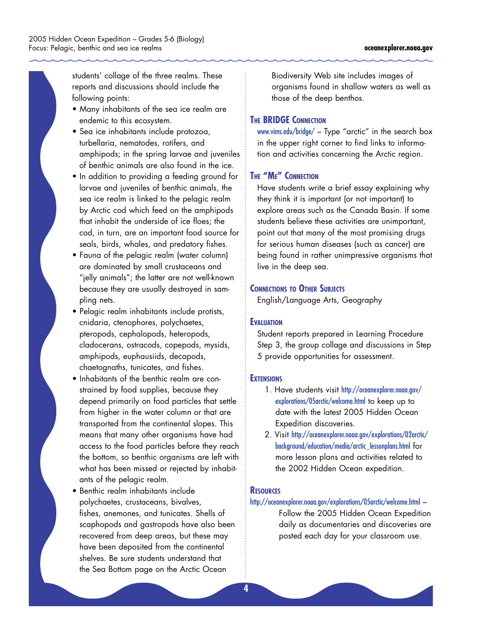students' collage of the three realms. These reports and discussions should include the following points:

- Many inhabitants of the sea ice realm are endemic to this ecosystem.
- Sea ice inhabitants include protozoa, turbellaria, nematodes, rotifers, and amphipods; in the spring larvae and juveniles of benthic animals are also found in the ice.
- In addition to providing a feeding ground for larvae and juveniles of benthic animals, the sea ice realm is linked to the pelagic realm by Arctic cod which feed on the amphipods that inhabit the underside of ice floes; the cod, in turn, are an important food source for seals, birds, whales, and predatory fishes.
- Fauna of the pelagic realm (water column) are dominated by small crustaceans and "jelly animals"; the latter are not well-known because they are usually destroyed in sampling nets.
- Pelagic realm inhabitants include protists, cnidaria, ctenophores, polychaetes, pteropods, cephalopods, heteropods, cladocerans, ostracods, copepods, mysids, amphipods, euphausiids, decapods, chaetognaths, tunicates, and fishes.
- Inhabitants of the benthic realm are constrained by food supplies, because they depend primarily on food particles that settle from higher in the water column or that are transported from the continental slopes. This means that many other organisms have had access to the food particles before they reach the bottom, so benthic organisms are left with what has been missed or rejected by inhabitants of the pelagic realm.
- Benthic realm inhabitants include polychaetes, crustaceans, bivalves, fishes, anemones, and tunicates. Shells of scaphopods and gastropods have also been recovered from deep areas, but these may have been deposited from the continental shelves. Be sure students understand that the Sea Bottom page on the Arctic Ocean

Biodiversity Web site includes images of organisms found in shallow waters as well as those of the deep benthos.

#### **THE BRIDGE CONNECTION**

[www.vims.edu/bridge/](file://localhost/Volumes/Shared_Data/MB6/TISB/oceantext_shelby/explorations/2005/05arctic/Background/edu/New%20Lesson%20Plans%202011/www.vims.edu/bridge/) – Type "arctic" in the search box in the upper right corner to find links to information and activities concerning the Arctic region.

## **THE "ME" CONNECTION**

Have students write a brief essay explaining why they think it is important (or not important) to explore areas such as the Canada Basin. If some students believe these activities are unimportant, point out that many of the most promising drugs for serious human diseases (such as cancer) are being found in rather unimpressive organisms that live in the deep sea.

#### **CONNECTIONS TO OTHER SUBJECTS**

English/Language Arts, Geography

#### **EVALUATION**

Student reports prepared in Learning Procedure Step 3, the group collage and discussions in Step 5 provide opportunities for assessment.

#### **EXTENSIONS**

- 1. Have students visit [http://oceanexplorer.noaa.gov/](http://oceanexplorer.noaa.gov/explorations/05arctic/welcome.html) [explorations/05arctic/welcome.html](http://oceanexplorer.noaa.gov/explorations/05arctic/welcome.html) to keep up to date with the latest 2005 Hidden Ocean Expedition discoveries.
- 2. Visit [http://oceanexplorer.noaa.gov/explorations/02arctic/](http://oceanexplorer.noaa.gov/explorations/02arctic/background/education/media/arctic_lessonplans.html) [background/education/media/arctic\\_lessonplans.html](http://oceanexplorer.noaa.gov/explorations/02arctic/background/education/media/arctic_lessonplans.html) for more lesson plans and activities related to the 2002 Hidden Ocean expedition.

## **RESOURCES**

#### <http://oceanexplorer.noaa.gov/explorations/05arctic/welcome.html> –

Follow the 2005 Hidden Ocean Expedition daily as documentaries and discoveries are posted each day for your classroom use.